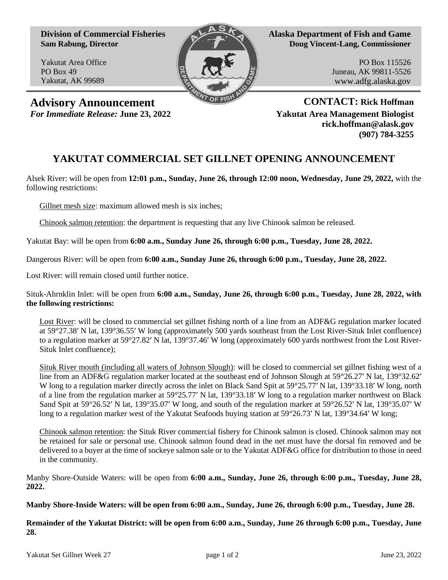**Division of Commercial Fisheries Sam Rabung, Director**

Yakutat Area Office PO Box 49 Yakutat, AK 99689



**Alaska Department of Fish and Game Doug Vincent-Lang, Commissioner**

> PO Box 115526 Juneau, AK 99811-5526 www.adfg.alaska.gov

**Advisory Announcement CONTACT: Rick Hoffman**

*For Immediate Release:* **June 23, 2022 Yakutat Area Management Biologist rick.hoffman@alask.gov (907) 784-3255**

## **YAKUTAT COMMERCIAL SET GILLNET OPENING ANNOUNCEMENT**

Alsek River: will be open from **12:01 p.m., Sunday, June 26, through 12:00 noon, Wednesday, June 29, 2022,** with the following restrictions:

Gillnet mesh size: maximum allowed mesh is six inches;

Chinook salmon retention: the department is requesting that any live Chinook salmon be released.

Yakutat Bay: will be open from **6:00 a.m., Sunday June 26, through 6:00 p.m., Tuesday, June 28, 2022.**

Dangerous River: will be open from **6:00 a.m., Sunday June 26, through 6:00 p.m., Tuesday, June 28, 2022.**

Lost River: will remain closed until further notice.

Situk-Ahrnklin Inlet: will be open from **6:00 a.m., Sunday, June 26, through 6:00 p.m., Tuesday, June 28, 2022, with the following restrictions:**

Lost River: will be closed to commercial set gillnet fishing north of a line from an ADF&G regulation marker located at 59°27.38′ N lat, 139°36.55′ W long (approximately 500 yards southeast from the Lost River-Situk Inlet confluence) to a regulation marker at 59°27.82′ N lat, 139°37.46′ W long (approximately 600 yards northwest from the Lost River-Situk Inlet confluence);

Situk River mouth (including all waters of Johnson Slough): will be closed to commercial set gillnet fishing west of a line from an ADF&G regulation marker located at the southeast end of Johnson Slough at 59°26.27′ N lat, 139°32.62′ W long to a regulation marker directly across the inlet on Black Sand Spit at 59°25.77′ N lat, 139°33.18′ W long, north of a line from the regulation marker at 59°25.77′ N lat, 139°33.18′ W long to a regulation marker northwest on Black Sand Spit at 59°26.52′ N lat, 139°35.07′ W long, and south of the regulation marker at 59°26.52′ N lat, 139°35.07′ W long to a regulation marker west of the Yakutat Seafoods buying station at 59°26.73′ N lat, 139°34.64′ W long;

Chinook salmon retention: the Situk River commercial fishery for Chinook salmon is closed. Chinook salmon may not be retained for sale or personal use. Chinook salmon found dead in the net must have the dorsal fin removed and be delivered to a buyer at the time of sockeye salmon sale or to the Yakutat ADF&G office for distribution to those in need in the community.

Manby Shore-Outside Waters: will be open from **6:00 a.m., Sunday, June 26, through 6:00 p.m., Tuesday, June 28, 2022.**

**Manby Shore-Inside Waters: will be open from 6:00 a.m., Sunday, June 26, through 6:00 p.m., Tuesday, June 28.**

**Remainder of the Yakutat District: will be open from 6:00 a.m., Sunday, June 26 through 6:00 p.m., Tuesday, June 28.**